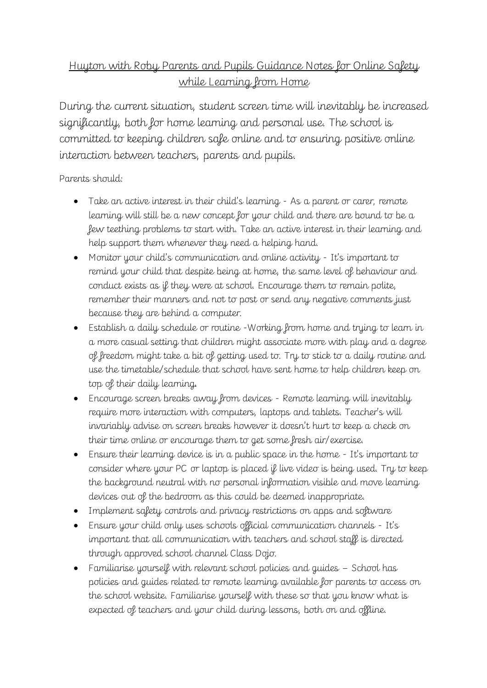## Huyton with Roby Parents and Pupils Guidance Notes for Online Safety while Learning from Home

During the current situation, student screen time will inevitably be increased significantly, both for home learning and personal use. The school is committed to keeping children safe online and to ensuring positive online interaction between teachers, parents and pupils.

Parents should:

- Take an active interest in their child's learning As a parent or carer, remote learning will still be a new concept for your child and there are bound to be a few teething problems to start with. Take an active interest in their learning and help support them whenever they need a helping hand.
- Monitor your child's communication and online activity It's important to remind your child that despite being at home, the same level of behaviour and conduct exists as if they were at school. Encourage them to remain polite, remember their manners and not to post or send any negative comments just because they are behind a computer.
- Establish a daily schedule or routine -Working from home and trying to learn in a more casual setting that children might associate more with play and a degree of freedom might take a bit of getting used to. Try to stick to a daily routine and use the timetable/schedule that school have sent home to help children keep on top of their daily learning.
- Encourage screen breaks away from devices Remote learning will inevitably require more interaction with computers, laptops and tablets. Teacher's will invariably advise on screen breaks however it doesn't hurt to keep a check on their time online or encourage them to get some fresh air/exercise.
- Ensure their learning device is in a public space in the home It's important to consider where your PC or laptop is placed if live video is being used. Try to keep the background neutral with no personal information visible and move learning devices out of the bedroom as this could be deemed inappropriate.
- Implement safety controls and privacy restrictions on apps and software
- Ensure your child only uses schools official communication channels It's important that all communication with teachers and school staff is directed through approved school channel Class Dojo.
- Familiarise yourself with relevant school policies and guides School has policies and guides related to remote learning available for parents to access on the school website. Familiarise yourself with these so that you know what is expected of teachers and your child during lessons, both on and offline.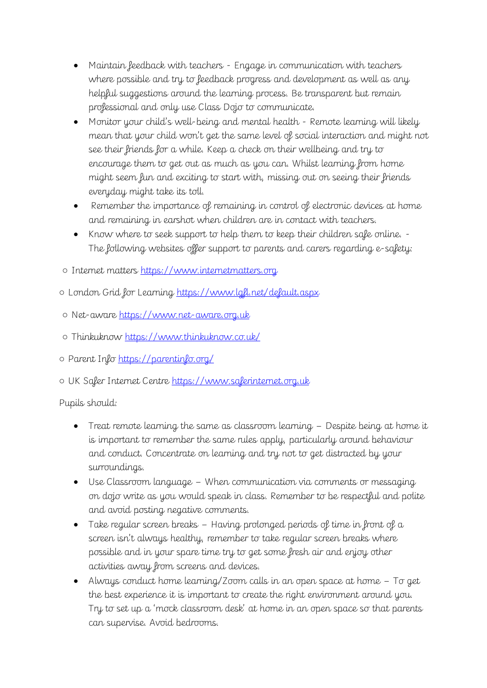- Maintain feedback with teachers Engage in communication with teachers where possible and try to feedback progress and development as well as any helpful suggestions around the learning process. Be transparent but remain professional and only use Class Dojo to communicate.
- Monitor your child's well-being and mental health Remote learning will likely mean that your child won't get the same level of social interaction and might not see their friends for a while. Keep a check on their wellbeing and try to encourage them to get out as much as you can. Whilst learning from home might seem fun and exciting to start with, missing out on seeing their friends everyday might take its toll.
- Remember the importance of remaining in control of electronic devices at home and remaining in earshot when children are in contact with teachers.
- Know where to seek support to help them to keep their children safe online. The following websites offer support to parents and carers regarding e-safety:

o Internet matters [https://www.internetmatters.org](https://www.internetmatters.org/)

o London Grid for Learning<https://www.lgfl.net/default.aspx>

- Net-aware [https://www.net-aware.org.uk](https://www.net-aware.org.uk/)
- Thinkuknow<https://www.thinkuknow.co.uk/>

o Parent Info<https://parentinfo.org/>

○ UK Safer Internet Centre [https://www.saferinternet.org.uk](https://www.saferinternet.org.uk/)

Pupils should:

- Treat remote learning the same as classroom learning Despite being at home it is important to remember the same rules apply, particularly around behaviour and conduct. Concentrate on learning and try not to get distracted by your surroundings.
- Use Classroom language When communication via comments or messaging on dojo write as you would speak in class. Remember to be respectful and polite and avoid posting negative comments.
- Take regular screen breaks Having prolonged periods of time in front of a screen isn't always healthy, remember to take regular screen breaks where possible and in your spare time try to get some fresh air and enjoy other activities away from screens and devices.
- Always conduct home learning/Zoom calls in an open space at home To get the best experience it is important to create the right environment around you. Try to set up a 'mock classroom desk' at home in an open space so that parents can supervise. Avoid bedrooms.